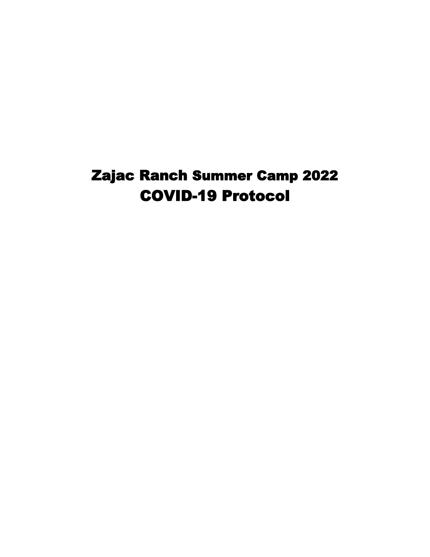# Zajac Ranch Summer Camp 2022 COVID-19 Protocol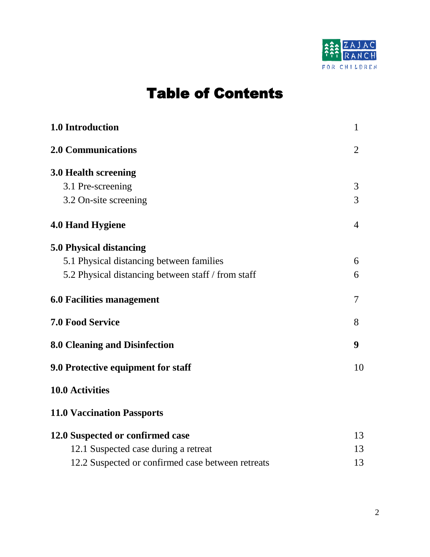

# Table of Contents

| 1.0 Introduction                                   |                |  |
|----------------------------------------------------|----------------|--|
| <b>2.0 Communications</b>                          | $\overline{2}$ |  |
| 3.0 Health screening                               |                |  |
| 3.1 Pre-screening                                  | 3              |  |
| 3.2 On-site screening                              | 3              |  |
| <b>4.0 Hand Hygiene</b>                            | $\overline{4}$ |  |
| 5.0 Physical distancing                            |                |  |
| 5.1 Physical distancing between families           | 6              |  |
| 5.2 Physical distancing between staff / from staff | 6              |  |
| <b>6.0 Facilities management</b>                   | 7              |  |
| <b>7.0 Food Service</b>                            | 8              |  |
| 8.0 Cleaning and Disinfection                      | 9              |  |
| 9.0 Protective equipment for staff                 |                |  |
| <b>10.0 Activities</b>                             |                |  |
| <b>11.0 Vaccination Passports</b>                  |                |  |
| 12.0 Suspected or confirmed case                   |                |  |
| 12.1 Suspected case during a retreat               | 13             |  |
| 12.2 Suspected or confirmed case between retreats  |                |  |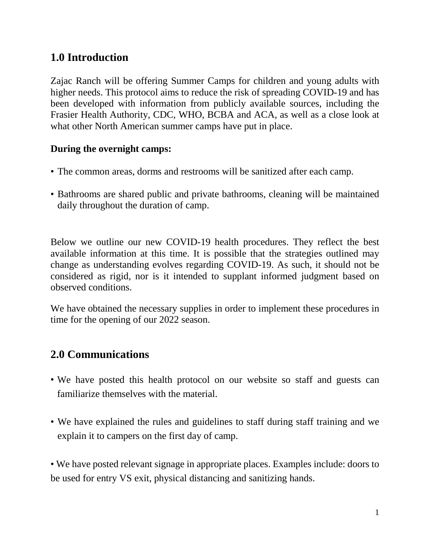# **1.0 Introduction**

Zajac Ranch will be offering Summer Camps for children and young adults with higher needs. This protocol aims to reduce the risk of spreading COVID-19 and has been developed with information from publicly available sources, including the Frasier Health Authority, CDC, WHO, BCBA and ACA, as well as a close look at what other North American summer camps have put in place.

#### **During the overnight camps:**

- The common areas, dorms and restrooms will be sanitized after each camp.
- Bathrooms are shared public and private bathrooms, cleaning will be maintained daily throughout the duration of camp.

Below we outline our new COVID-19 health procedures. They reflect the best available information at this time. It is possible that the strategies outlined may change as understanding evolves regarding COVID-19. As such, it should not be considered as rigid, nor is it intended to supplant informed judgment based on observed conditions.

We have obtained the necessary supplies in order to implement these procedures in time for the opening of our 2022 season.

# **2.0 Communications**

- We have posted this health protocol on our website so staff and guests can familiarize themselves with the material.
- We have explained the rules and guidelines to staff during staff training and we explain it to campers on the first day of camp.

• We have posted relevant signage in appropriate places. Examples include: doors to be used for entry VS exit, physical distancing and sanitizing hands.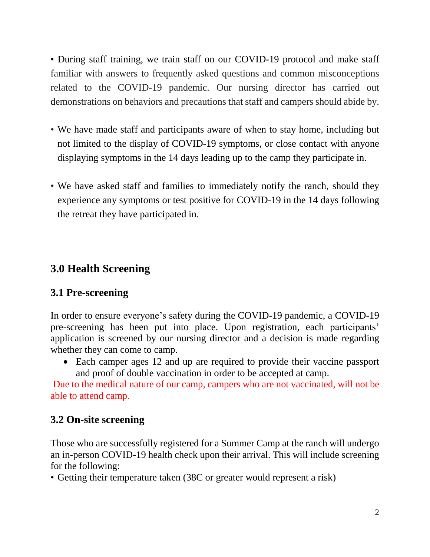• During staff training, we train staff on our COVID-19 protocol and make staff familiar with answers to frequently asked questions and common misconceptions related to the COVID-19 pandemic. Our nursing director has carried out demonstrations on behaviors and precautions that staff and campers should abide by.

- We have made staff and participants aware of when to stay home, including but not limited to the display of COVID-19 symptoms, or close contact with anyone displaying symptoms in the 14 days leading up to the camp they participate in.
- We have asked staff and families to immediately notify the ranch, should they experience any symptoms or test positive for COVID-19 in the 14 days following the retreat they have participated in.

# **3.0 Health Screening**

#### **3.1 Pre-screening**

In order to ensure everyone's safety during the COVID-19 pandemic, a COVID-19 pre-screening has been put into place. Upon registration, each participants' application is screened by our nursing director and a decision is made regarding whether they can come to camp.

• Each camper ages 12 and up are required to provide their vaccine passport and proof of double vaccination in order to be accepted at camp.

Due to the medical nature of our camp, campers who are not vaccinated, will not be able to attend camp.

#### **3.2 On-site screening**

Those who are successfully registered for a Summer Camp at the ranch will undergo an in-person COVID-19 health check upon their arrival. This will include screening for the following:

• Getting their temperature taken (38C or greater would represent a risk)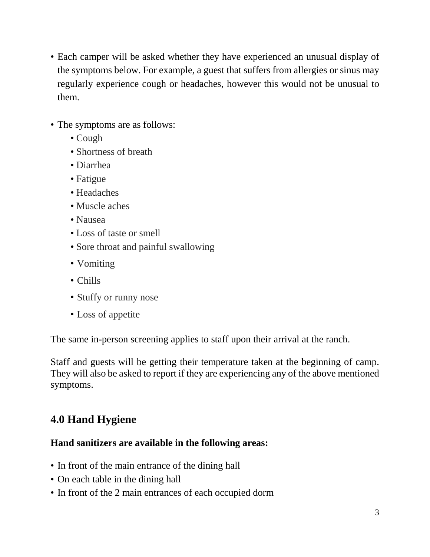- Each camper will be asked whether they have experienced an unusual display of the symptoms below. For example, a guest that suffers from allergies or sinus may regularly experience cough or headaches, however this would not be unusual to them.
- The symptoms are as follows:
	- Cough
	- Shortness of breath
	- Diarrhea
	- Fatigue
	- Headaches
	- Muscle aches
	- Nausea
	- Loss of taste or smell
	- Sore throat and painful swallowing
	- Vomiting
	- Chills
	- Stuffy or runny nose
	- Loss of appetite

The same in-person screening applies to staff upon their arrival at the ranch.

Staff and guests will be getting their temperature taken at the beginning of camp. They will also be asked to report if they are experiencing any of the above mentioned symptoms.

# **4.0 Hand Hygiene**

#### **Hand sanitizers are available in the following areas:**

- In front of the main entrance of the dining hall
- On each table in the dining hall
- In front of the 2 main entrances of each occupied dorm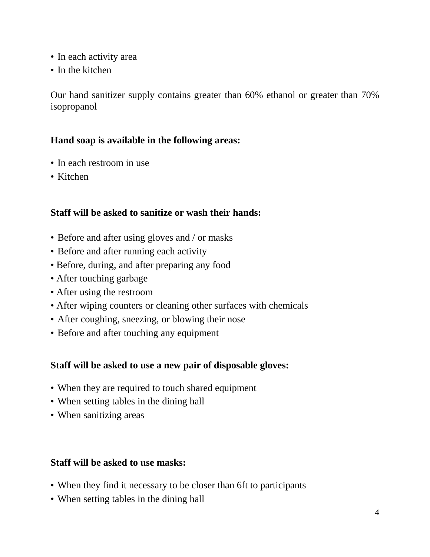- In each activity area
- In the kitchen

Our hand sanitizer supply contains greater than 60% ethanol or greater than 70% isopropanol

#### **Hand soap is available in the following areas:**

- In each restroom in use
- Kitchen

#### **Staff will be asked to sanitize or wash their hands:**

- Before and after using gloves and / or masks
- Before and after running each activity
- Before, during, and after preparing any food
- After touching garbage
- After using the restroom
- After wiping counters or cleaning other surfaces with chemicals
- After coughing, sneezing, or blowing their nose
- Before and after touching any equipment

#### **Staff will be asked to use a new pair of disposable gloves:**

- When they are required to touch shared equipment
- When setting tables in the dining hall
- When sanitizing areas

#### **Staff will be asked to use masks:**

- When they find it necessary to be closer than 6ft to participants
- When setting tables in the dining hall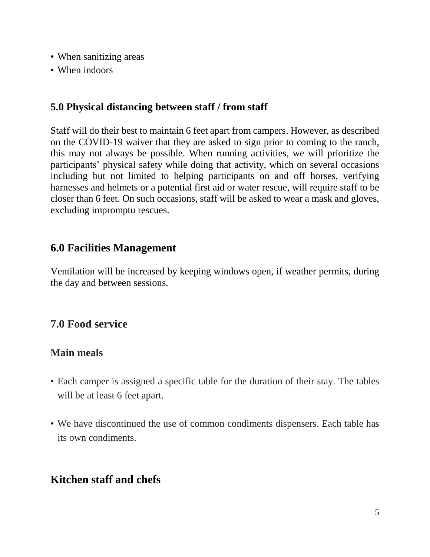- When sanitizing areas
- When indoors

#### **5.0 Physical distancing between staff / from staff**

Staff will do their best to maintain 6 feet apart from campers. However, as described on the COVID-19 waiver that they are asked to sign prior to coming to the ranch, this may not always be possible. When running activities, we will prioritize the participants' physical safety while doing that activity, which on several occasions including but not limited to helping participants on and off horses, verifying harnesses and helmets or a potential first aid or water rescue, will require staff to be closer than 6 feet. On such occasions, staff will be asked to wear a mask and gloves, excluding impromptu rescues.

#### **6.0 Facilities Management**

Ventilation will be increased by keeping windows open, if weather permits, during the day and between sessions.

# **7.0 Food service**

#### **Main meals**

- Each camper is assigned a specific table for the duration of their stay. The tables will be at least 6 feet apart.
- We have discontinued the use of common condiments dispensers. Each table has its own condiments.

# **Kitchen staff and chefs**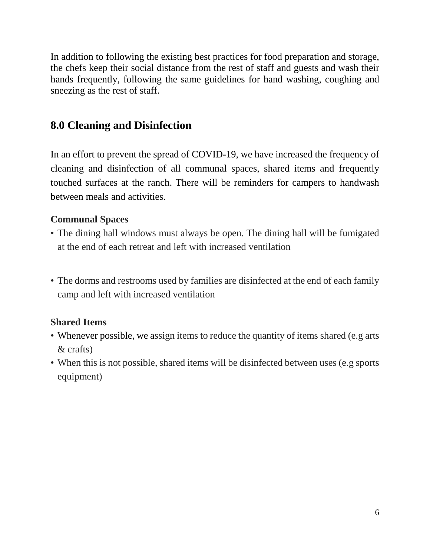In addition to following the existing best practices for food preparation and storage, the chefs keep their social distance from the rest of staff and guests and wash their hands frequently, following the same guidelines for hand washing, coughing and sneezing as the rest of staff.

# **8.0 Cleaning and Disinfection**

In an effort to prevent the spread of COVID-19, we have increased the frequency of cleaning and disinfection of all communal spaces, shared items and frequently touched surfaces at the ranch. There will be reminders for campers to handwash between meals and activities.

#### **Communal Spaces**

- The dining hall windows must always be open. The dining hall will be fumigated at the end of each retreat and left with increased ventilation
- The dorms and restrooms used by families are disinfected at the end of each family camp and left with increased ventilation

#### **Shared Items**

- Whenever possible, we assign items to reduce the quantity of items shared (e.g arts) & crafts)
- When this is not possible, shared items will be disinfected between uses (e.g sports) equipment)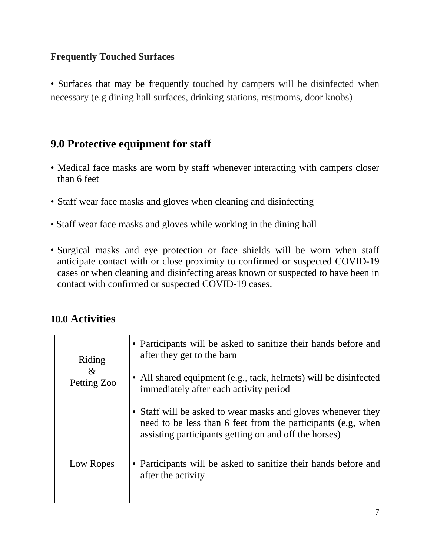#### **Frequently Touched Surfaces**

• Surfaces that may be frequently touched by campers will be disinfected when necessary (e.g dining hall surfaces, drinking stations, restrooms, door knobs)

#### **9.0 Protective equipment for staff**

- Medical face masks are worn by staff whenever interacting with campers closer than 6 feet
- Staff wear face masks and gloves when cleaning and disinfecting
- Staff wear face masks and gloves while working in the dining hall
- Surgical masks and eye protection or face shields will be worn when staff anticipate contact with or close proximity to confirmed or suspected COVID-19 cases or when cleaning and disinfecting areas known or suspected to have been in contact with confirmed or suspected COVID-19 cases.

#### **10.0 Activities**

| Riding<br>&<br>Petting Zoo | • Participants will be asked to sanitize their hands before and<br>after they get to the barn<br>• All shared equipment (e.g., tack, helmets) will be disinfected<br>immediately after each activity period<br>• Staff will be asked to wear masks and gloves whenever they<br>need to be less than 6 feet from the participants (e.g. when<br>assisting participants getting on and off the horses) |
|----------------------------|------------------------------------------------------------------------------------------------------------------------------------------------------------------------------------------------------------------------------------------------------------------------------------------------------------------------------------------------------------------------------------------------------|
| Low Ropes                  | • Participants will be asked to sanitize their hands before and<br>after the activity                                                                                                                                                                                                                                                                                                                |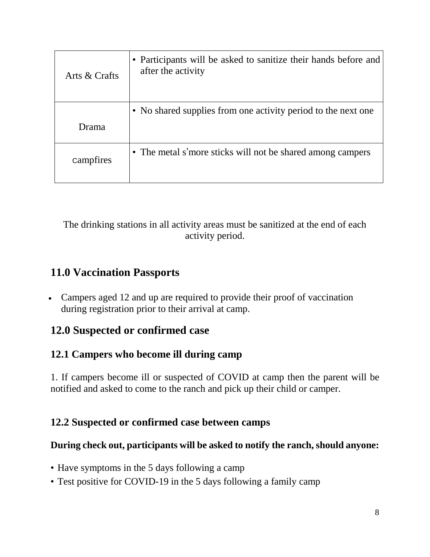| Arts & Crafts | • Participants will be asked to sanitize their hands before and<br>after the activity |
|---------------|---------------------------------------------------------------------------------------|
| Drama         | • No shared supplies from one activity period to the next one                         |
| campfires     | • The metal s'more sticks will not be shared among campers                            |

The drinking stations in all activity areas must be sanitized at the end of each activity period.

# **11.0 Vaccination Passports**

• Campers aged 12 and up are required to provide their proof of vaccination during registration prior to their arrival at camp.

# **12.0 Suspected or confirmed case**

### **12.1 Campers who become ill during camp**

1. If campers become ill or suspected of COVID at camp then the parent will be notified and asked to come to the ranch and pick up their child or camper.

#### **12.2 Suspected or confirmed case between camps**

#### **During check out, participants will be asked to notify the ranch, should anyone:**

- Have symptoms in the 5 days following a camp
- Test positive for COVID-19 in the 5 days following a family camp